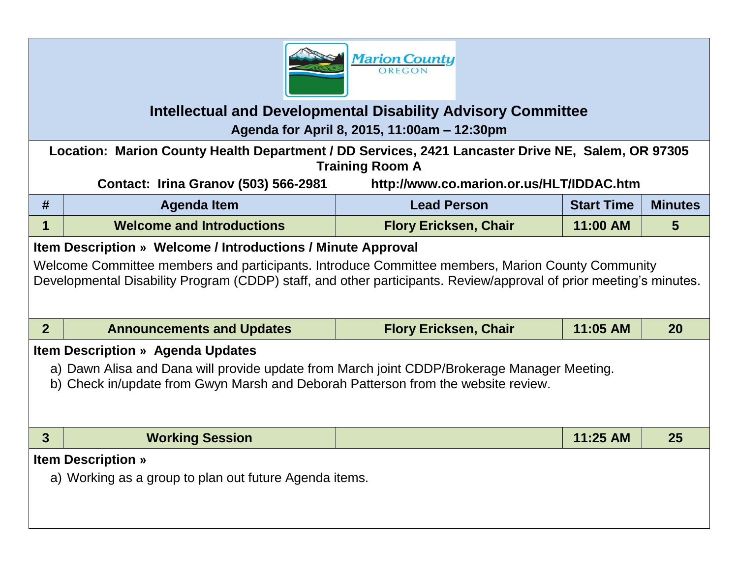

## **Intellectual and Developmental Disability Advisory Committee**

**Agenda for April 8, 2015, 11:00am – 12:30pm**

**Location: Marion County Health Department / DD Services, 2421 Lancaster Drive NE, Salem, OR 97305 Training Room A**

**Contact: Irina Granov (503) 566-2981 http://www.co.marion.or.us/HLT/IDDAC.htm**

| #                                                                                                                                                                                                                      | <b>Agenda Item</b>               | <b>Lead Person</b>           | <b>Start Time</b> | <b>Minutes</b> |  |  |  |  |
|------------------------------------------------------------------------------------------------------------------------------------------------------------------------------------------------------------------------|----------------------------------|------------------------------|-------------------|----------------|--|--|--|--|
| 1                                                                                                                                                                                                                      | <b>Welcome and Introductions</b> | <b>Flory Ericksen, Chair</b> | 11:00 AM          | 5              |  |  |  |  |
| Item Description » Welcome / Introductions / Minute Approval                                                                                                                                                           |                                  |                              |                   |                |  |  |  |  |
| Welcome Committee members and participants. Introduce Committee members, Marion County Community<br>Developmental Disability Program (CDDP) staff, and other participants. Review/approval of prior meeting's minutes. |                                  |                              |                   |                |  |  |  |  |
| 2 <sup>1</sup>                                                                                                                                                                                                         | <b>Announcements and Updates</b> | <b>Flory Ericksen, Chair</b> | 11:05 AM          | 20             |  |  |  |  |
| <b>Item Description » Agenda Updates</b>                                                                                                                                                                               |                                  |                              |                   |                |  |  |  |  |
| a) Dawn Alisa and Dana will provide update from March joint CDDP/Brokerage Manager Meeting.<br>b) Check in/update from Gwyn Marsh and Deborah Patterson from the website review.                                       |                                  |                              |                   |                |  |  |  |  |
| $\mathbf{3}$                                                                                                                                                                                                           | <b>Working Session</b>           |                              | 11:25 AM          | 25             |  |  |  |  |
| <b>Item Description »</b>                                                                                                                                                                                              |                                  |                              |                   |                |  |  |  |  |
| a) Working as a group to plan out future Agenda items.                                                                                                                                                                 |                                  |                              |                   |                |  |  |  |  |